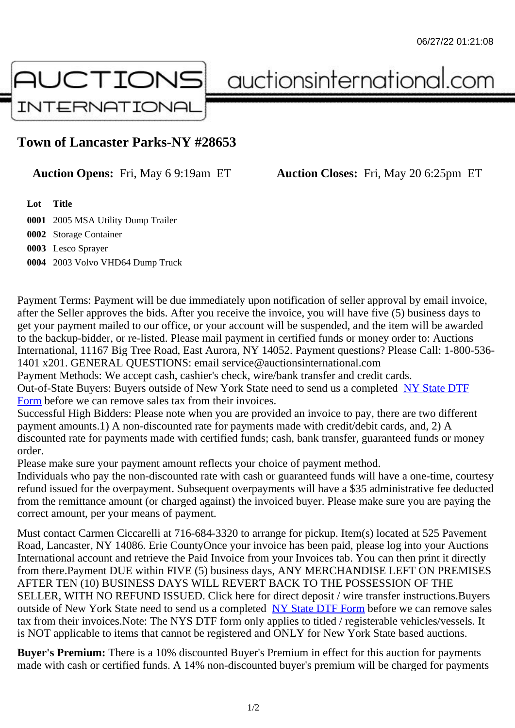## Town of Lancaster Parks-NY #28653

Auction Opens: Fri, May 6 9:19am ET Auction Closes: Fri, May 20 6:25pm ET

Lot Title

 2005 MSA Utility Dump Trailer Storage Container Lesco Sprayer 2003 Volvo VHD64 Dump Truck

Payment Terms: Payment will be due immediately upon notification of seller approval by email invoice, after the Seller approves the bids. After you receive the invoice, you will have five (5) business days to get your payment mailed to our office, or your account will be suspended, and the item will be awarded to the backup-bidder, or re-listed. Please mail payment in certified funds or money order to: Auctions International, 11167 Big Tree Road, East Aurora, NY 14052. Payment questions? Please Call: 1-800-53 1401 x201. GENERAL QUESTIONS: email service@auctionsinternational.com Payment Methods: We accept cash, cashier's check, wire/bank transfer and credit cards.

Out-of-State Buyers: Buyers outside of New York State need to send us a com blestate DTF Form before we can remove sales tax from their invoices.

Successful High Bidders: Please note when you are provided an invoice to pay, there are two different payment amounts.1) A non-discounted rate for payments made with credit/de[bit cards, and](https://www.auctionsinternational.com/auxiliary/downloads/DTF_Form/dtf_fill_in.pdf), 2) A [disco](https://www.auctionsinternational.com/auxiliary/downloads/DTF_Form/dtf_fill_in.pdf)unted rate for payments made with certified funds; cash, bank transfer, guaranteed funds or mone order.

Please make sure your payment amount reflects your choice of payment method.

Individuals who pay the non-discounted rate with cash or guaranteed funds will have a one-time, courte refund issued for the overpayment. Subsequent overpayments will have a \$35 administrative fee deduc from the remittance amount (or charged against) the invoiced buyer. Please make sure you are paying correct amount, per your means of payment.

Must contact Carmen Ciccarelli at 716-684-3320 to arrange for pickup. Item(s) located at 525 Pavement Road, Lancaster, NY 14086. Erie CountyOnce your invoice has been paid, please log into your Auction International account and retrieve the Paid Invoice from your Invoices tab. You can then print it directly from there.Payment DUE within FIVE (5) business days, ANY MERCHANDISE LEFT ON PREMISES AFTER TEN (10) BUSINESS DAYS WILL REVERT BACK TO THE POSSESSION OF THE SELLER, WITH NO REFUND ISSUED. Click here for direct deposit / wire transfer instructions.Buyers outside of New York State need to send us a complete **State DTF Form before we can remove sales** tax from their invoices.Note: The NYS DTF form only applies to titled / registerable vehicles/vessels. It is NOT applicable to items that cannot be registered and ONLY for New York State based auctions.

Buyer's Premium: There is a 10% discounted Buye[r's Premium in effec](https://www.auctionsinternational.com/auxiliary/downloads/DTF_Form/dtf_fill_in.pdf)t for this auction for payments made with cash or certified funds. A 14% non-discounted buyer's premium will be charged for payments